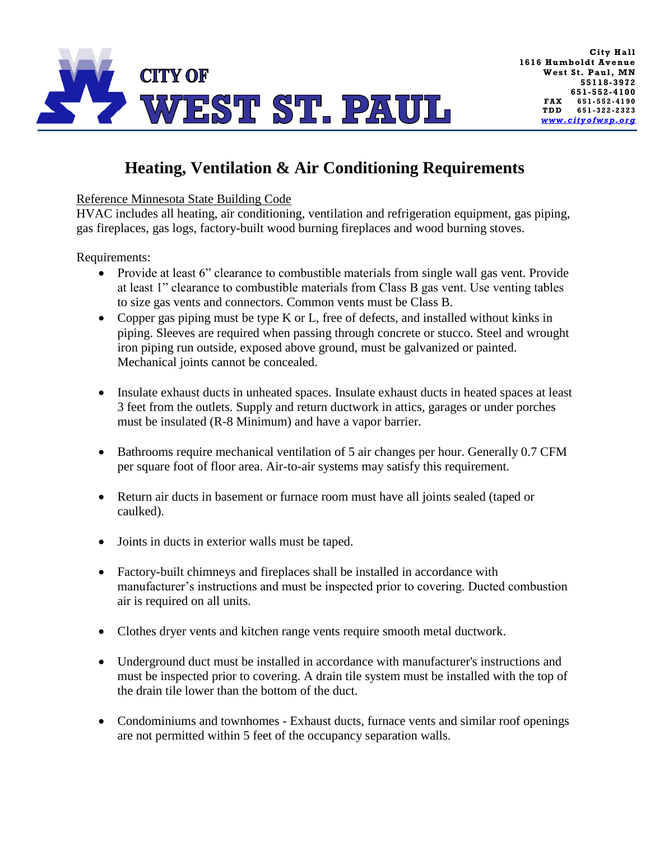

## **Heating, Ventilation & Air Conditioning Requirements**

Reference Minnesota State Building Code

HVAC includes all heating, air conditioning, ventilation and refrigeration equipment, gas piping, gas fireplaces, gas logs, factory-built wood burning fireplaces and wood burning stoves.

Requirements:

- Provide at least 6" clearance to combustible materials from single wall gas vent. Provide at least 1" clearance to combustible materials from Class B gas vent. Use venting tables to size gas vents and connectors. Common vents must be Class B.
- Copper gas piping must be type K or L, free of defects, and installed without kinks in piping. Sleeves are required when passing through concrete or stucco. Steel and wrought iron piping run outside, exposed above ground, must be galvanized or painted. Mechanical joints cannot be concealed.
- Insulate exhaust ducts in unheated spaces. Insulate exhaust ducts in heated spaces at least 3 feet from the outlets. Supply and return ductwork in attics, garages or under porches must be insulated (R-8 Minimum) and have a vapor barrier.
- Bathrooms require mechanical ventilation of 5 air changes per hour. Generally 0.7 CFM per square foot of floor area. Air-to-air systems may satisfy this requirement.
- Return air ducts in basement or furnace room must have all joints sealed (taped or caulked).
- Joints in ducts in exterior walls must be taped.
- Factory-built chimneys and fireplaces shall be installed in accordance with manufacturer's instructions and must be inspected prior to covering. Ducted combustion air is required on all units.
- Clothes dryer vents and kitchen range vents require smooth metal ductwork.
- Underground duct must be installed in accordance with manufacturer's instructions and must be inspected prior to covering. A drain tile system must be installed with the top of the drain tile lower than the bottom of the duct.
- Condominiums and townhomes Exhaust ducts, furnace vents and similar roof openings are not permitted within 5 feet of the occupancy separation walls.